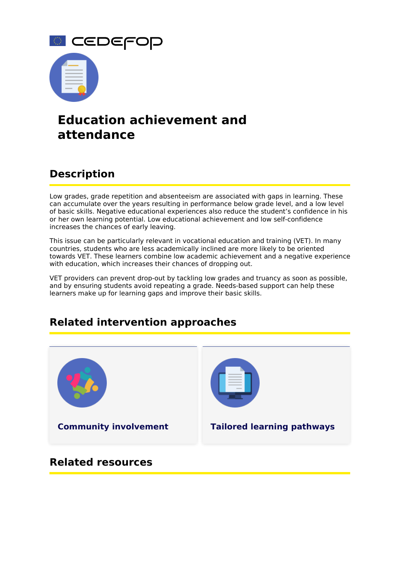

# **Education achievement and attendance**

## **Description**

Low grades, grade repetition and absenteeism are associated with gaps in learning. These can accumulate over the years resulting in performance below grade level, and a low level of basic skills. Negative educational experiences also reduce the student's confidence in his or her own learning potential. Low educational achievement and low self-confidence increases the chances of early leaving.

This issue can be particularly relevant in vocational education and training (VET). In many countries, students who are less academically inclined are more likely to be oriented towards VET. These learners combine low academic achievement and a negative experience with education, which increases their chances of dropping out.

VET providers can prevent drop-out by tackling low grades and truancy as soon as possible, and by ensuring students avoid repeating a grade. Needs-based support can help these learners make up for learning gaps and improve their basic skills.

## **Related intervention approaches**



### **Related resources**